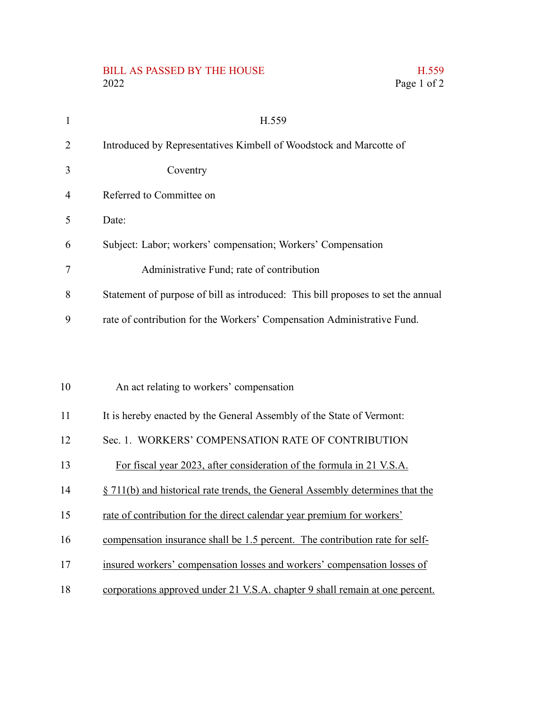## BILL AS PASSED BY THE HOUSE H.559 2022 Page 1 of 2

| $\mathbf{1}$   | H.559                                                                            |
|----------------|----------------------------------------------------------------------------------|
| 2              | Introduced by Representatives Kimbell of Woodstock and Marcotte of               |
| 3              | Coventry                                                                         |
| $\overline{4}$ | Referred to Committee on                                                         |
| 5              | Date:                                                                            |
| 6              | Subject: Labor; workers' compensation; Workers' Compensation                     |
| 7              | Administrative Fund; rate of contribution                                        |
| 8              | Statement of purpose of bill as introduced: This bill proposes to set the annual |
| 9              | rate of contribution for the Workers' Compensation Administrative Fund.          |
|                |                                                                                  |
|                |                                                                                  |
| 10             | An act relating to workers' compensation                                         |
| 11             | It is hereby enacted by the General Assembly of the State of Vermont:            |
| 12             | Sec. 1. WORKERS' COMPENSATION RATE OF CONTRIBUTION                               |
| 13             | For fiscal year 2023, after consideration of the formula in 21 V.S.A.            |
| 14             | § 711(b) and historical rate trends, the General Assembly determines that the    |
| 15             | rate of contribution for the direct calendar year premium for workers'           |
|                |                                                                                  |

- compensation insurance shall be 1.5 percent. The contribution rate for self-16
- insured workers' compensation losses and workers' compensation losses of 17
- corporations approved under 21 V.S.A. chapter 9 shall remain at one percent. 18